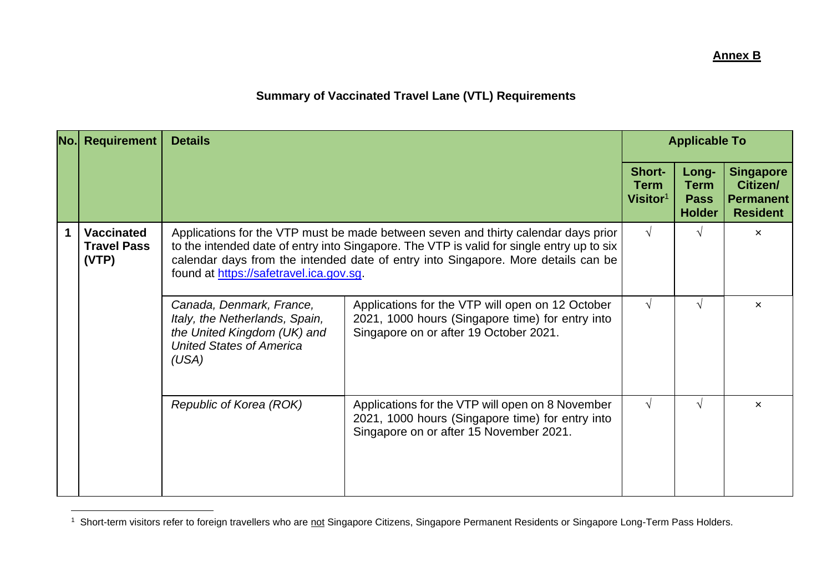## **Summary of Vaccinated Travel Lane (VTL) Requirements**

|  | No. Requirement                                  | <b>Details</b>                                                                                                                        | <b>Applicable To</b>                                                                                                                                                                                                                                                 |                                      |                                                      |                                                                     |
|--|--------------------------------------------------|---------------------------------------------------------------------------------------------------------------------------------------|----------------------------------------------------------------------------------------------------------------------------------------------------------------------------------------------------------------------------------------------------------------------|--------------------------------------|------------------------------------------------------|---------------------------------------------------------------------|
|  |                                                  |                                                                                                                                       |                                                                                                                                                                                                                                                                      | Short-<br><b>Term</b><br>Visitor $1$ | Long-<br><b>Term</b><br><b>Pass</b><br><b>Holder</b> | <b>Singapore</b><br>Citizen/<br><b>Permanent</b><br><b>Resident</b> |
|  | <b>Vaccinated</b><br><b>Travel Pass</b><br>(VTP) | found at https://safetravel.ica.gov.sg.                                                                                               | Applications for the VTP must be made between seven and thirty calendar days prior<br>to the intended date of entry into Singapore. The VTP is valid for single entry up to six<br>calendar days from the intended date of entry into Singapore. More details can be | $\sqrt{ }$                           | $\sqrt{ }$                                           | $\boldsymbol{\mathsf{x}}$                                           |
|  |                                                  | Canada, Denmark, France,<br>Italy, the Netherlands, Spain,<br>the United Kingdom (UK) and<br><b>United States of America</b><br>(USA) | Applications for the VTP will open on 12 October<br>2021, 1000 hours (Singapore time) for entry into<br>Singapore on or after 19 October 2021.                                                                                                                       | $\sqrt{ }$                           | $\mathcal{N}$                                        | $\boldsymbol{\mathsf{x}}$                                           |
|  |                                                  | Republic of Korea (ROK)                                                                                                               | Applications for the VTP will open on 8 November<br>2021, 1000 hours (Singapore time) for entry into<br>Singapore on or after 15 November 2021.                                                                                                                      | $\sqrt{ }$                           | $\sqrt{ }$                                           | $\boldsymbol{\mathsf{x}}$                                           |

<sup>&</sup>lt;sup>1</sup> Short-term visitors refer to foreign travellers who are not Singapore Citizens, Singapore Permanent Residents or Singapore Long-Term Pass Holders.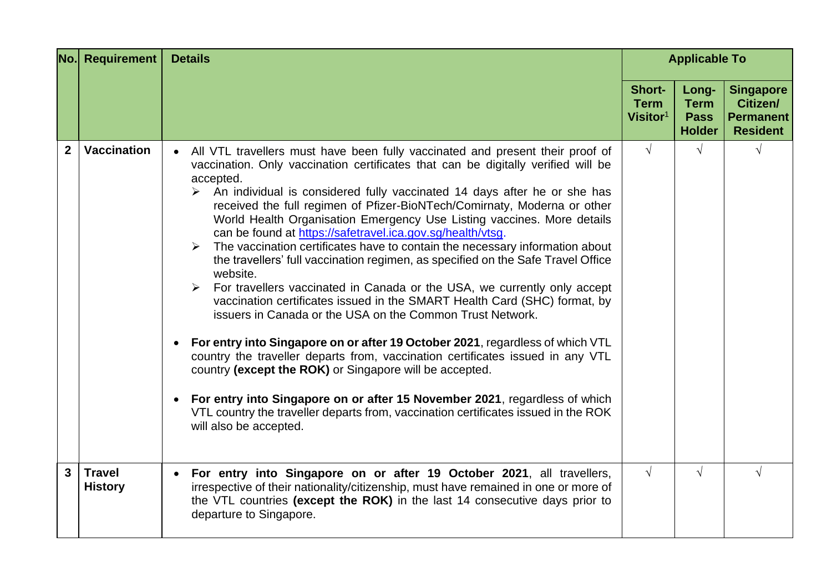|                | <b>No.</b> Requirement          | <b>Details</b>                                                                                                                                                                                                                                                                                                                                                                                                                                                                                                                                                                                                                                                                                                                                                                                                                                                                                                                                                                                                                                                                                                                                                                                                                                                                                                                       | <b>Applicable To</b>                          |                                                      |                                                                     |
|----------------|---------------------------------|--------------------------------------------------------------------------------------------------------------------------------------------------------------------------------------------------------------------------------------------------------------------------------------------------------------------------------------------------------------------------------------------------------------------------------------------------------------------------------------------------------------------------------------------------------------------------------------------------------------------------------------------------------------------------------------------------------------------------------------------------------------------------------------------------------------------------------------------------------------------------------------------------------------------------------------------------------------------------------------------------------------------------------------------------------------------------------------------------------------------------------------------------------------------------------------------------------------------------------------------------------------------------------------------------------------------------------------|-----------------------------------------------|------------------------------------------------------|---------------------------------------------------------------------|
|                |                                 |                                                                                                                                                                                                                                                                                                                                                                                                                                                                                                                                                                                                                                                                                                                                                                                                                                                                                                                                                                                                                                                                                                                                                                                                                                                                                                                                      | Short-<br><b>Term</b><br>Visitor <sup>1</sup> | Long-<br><b>Term</b><br><b>Pass</b><br><b>Holder</b> | <b>Singapore</b><br>Citizen/<br><b>Permanent</b><br><b>Resident</b> |
| $\overline{2}$ | <b>Vaccination</b>              | All VTL travellers must have been fully vaccinated and present their proof of<br>vaccination. Only vaccination certificates that can be digitally verified will be<br>accepted.<br>$\triangleright$ An individual is considered fully vaccinated 14 days after he or she has<br>received the full regimen of Pfizer-BioNTech/Comirnaty, Moderna or other<br>World Health Organisation Emergency Use Listing vaccines. More details<br>can be found at https://safetravel.ica.gov.sg/health/vtsg.<br>The vaccination certificates have to contain the necessary information about<br>the travellers' full vaccination regimen, as specified on the Safe Travel Office<br>website.<br>> For travellers vaccinated in Canada or the USA, we currently only accept<br>vaccination certificates issued in the SMART Health Card (SHC) format, by<br>issuers in Canada or the USA on the Common Trust Network.<br>For entry into Singapore on or after 19 October 2021, regardless of which VTL<br>country the traveller departs from, vaccination certificates issued in any VTL<br>country (except the ROK) or Singapore will be accepted.<br>For entry into Singapore on or after 15 November 2021, regardless of which<br>VTL country the traveller departs from, vaccination certificates issued in the ROK<br>will also be accepted. | $\sqrt{ }$                                    | $\sqrt{ }$                                           |                                                                     |
| 3 <sup>1</sup> | <b>Travel</b><br><b>History</b> | For entry into Singapore on or after 19 October 2021, all travellers,<br>$\bullet$<br>irrespective of their nationality/citizenship, must have remained in one or more of<br>the VTL countries (except the ROK) in the last 14 consecutive days prior to<br>departure to Singapore.                                                                                                                                                                                                                                                                                                                                                                                                                                                                                                                                                                                                                                                                                                                                                                                                                                                                                                                                                                                                                                                  | $\sqrt{ }$                                    | $\sqrt{2}$                                           |                                                                     |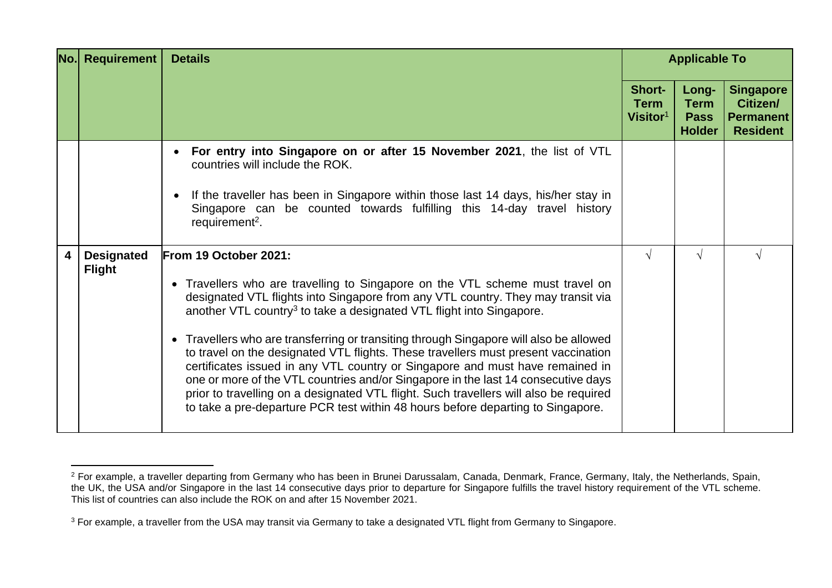| $N$ o.l | Requirement                        | <b>Details</b>                                                                                                                                                                                                                                                                                                                                                                                                                                                                                                                                                                                                                                                                                                                                                                                                   | <b>Applicable To</b>                                 |                                                      |                                                                     |
|---------|------------------------------------|------------------------------------------------------------------------------------------------------------------------------------------------------------------------------------------------------------------------------------------------------------------------------------------------------------------------------------------------------------------------------------------------------------------------------------------------------------------------------------------------------------------------------------------------------------------------------------------------------------------------------------------------------------------------------------------------------------------------------------------------------------------------------------------------------------------|------------------------------------------------------|------------------------------------------------------|---------------------------------------------------------------------|
|         |                                    |                                                                                                                                                                                                                                                                                                                                                                                                                                                                                                                                                                                                                                                                                                                                                                                                                  | <b>Short-</b><br><b>Term</b><br>Visitor <sup>1</sup> | Long-<br><b>Term</b><br><b>Pass</b><br><b>Holder</b> | <b>Singapore</b><br>Citizen/<br><b>Permanent</b><br><b>Resident</b> |
|         |                                    | For entry into Singapore on or after 15 November 2021, the list of VTL<br>countries will include the ROK.<br>If the traveller has been in Singapore within those last 14 days, his/her stay in<br>Singapore can be counted towards fulfilling this 14-day travel history<br>requirement <sup>2</sup> .                                                                                                                                                                                                                                                                                                                                                                                                                                                                                                           |                                                      |                                                      |                                                                     |
| 4       | <b>Designated</b><br><b>Flight</b> | From 19 October 2021:<br>• Travellers who are travelling to Singapore on the VTL scheme must travel on<br>designated VTL flights into Singapore from any VTL country. They may transit via<br>another VTL country <sup>3</sup> to take a designated VTL flight into Singapore.<br>• Travellers who are transferring or transiting through Singapore will also be allowed<br>to travel on the designated VTL flights. These travellers must present vaccination<br>certificates issued in any VTL country or Singapore and must have remained in<br>one or more of the VTL countries and/or Singapore in the last 14 consecutive days<br>prior to travelling on a designated VTL flight. Such travellers will also be required<br>to take a pre-departure PCR test within 48 hours before departing to Singapore. | V                                                    | $\sqrt{ }$                                           |                                                                     |

<sup>&</sup>lt;sup>2</sup> For example, a traveller departing from Germany who has been in Brunei Darussalam, Canada, Denmark, France, Germany, Italy, the Netherlands, Spain, the UK, the USA and/or Singapore in the last 14 consecutive days prior to departure for Singapore fulfills the travel history requirement of the VTL scheme. This list of countries can also include the ROK on and after 15 November 2021.

<sup>&</sup>lt;sup>3</sup> For example, a traveller from the USA may transit via Germany to take a designated VTL flight from Germany to Singapore.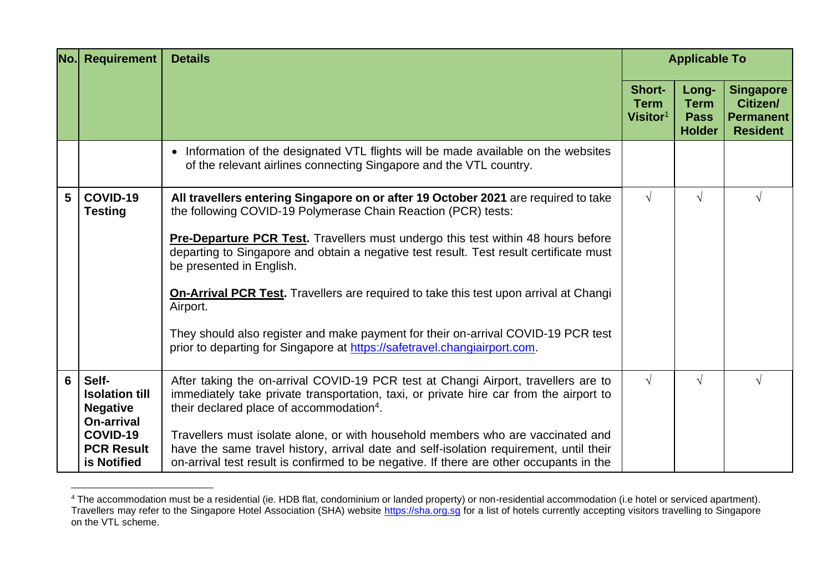| No.l | <b>Requirement</b>                                                                                              | <b>Details</b>                                                                                                                                                                                                                                                                                                                                                                                                                                                                                               | <b>Applicable To</b>                          |                                                      |                                                                     |
|------|-----------------------------------------------------------------------------------------------------------------|--------------------------------------------------------------------------------------------------------------------------------------------------------------------------------------------------------------------------------------------------------------------------------------------------------------------------------------------------------------------------------------------------------------------------------------------------------------------------------------------------------------|-----------------------------------------------|------------------------------------------------------|---------------------------------------------------------------------|
|      |                                                                                                                 |                                                                                                                                                                                                                                                                                                                                                                                                                                                                                                              | Short-<br><b>Term</b><br>Visitor <sup>1</sup> | Long-<br><b>Term</b><br><b>Pass</b><br><b>Holder</b> | <b>Singapore</b><br>Citizen/<br><b>Permanent</b><br><b>Resident</b> |
|      |                                                                                                                 | • Information of the designated VTL flights will be made available on the websites<br>of the relevant airlines connecting Singapore and the VTL country.                                                                                                                                                                                                                                                                                                                                                     |                                               |                                                      |                                                                     |
| 5    | COVID-19<br><b>Testing</b>                                                                                      | All travellers entering Singapore on or after 19 October 2021 are required to take<br>the following COVID-19 Polymerase Chain Reaction (PCR) tests:<br><b>Pre-Departure PCR Test.</b> Travellers must undergo this test within 48 hours before<br>departing to Singapore and obtain a negative test result. Test result certificate must<br>be presented in English.<br><b>On-Arrival PCR Test.</b> Travellers are required to take this test upon arrival at Changi<br>Airport.                             | $\sqrt{ }$                                    | $\sqrt{}$                                            | V                                                                   |
|      |                                                                                                                 | They should also register and make payment for their on-arrival COVID-19 PCR test<br>prior to departing for Singapore at https://safetravel.changiairport.com.                                                                                                                                                                                                                                                                                                                                               |                                               |                                                      |                                                                     |
| 6    | Self-<br><b>Isolation till</b><br><b>Negative</b><br>On-arrival<br>COVID-19<br><b>PCR Result</b><br>is Notified | After taking the on-arrival COVID-19 PCR test at Changi Airport, travellers are to<br>immediately take private transportation, taxi, or private hire car from the airport to<br>their declared place of accommodation <sup>4</sup> .<br>Travellers must isolate alone, or with household members who are vaccinated and<br>have the same travel history, arrival date and self-isolation requirement, until their<br>on-arrival test result is confirmed to be negative. If there are other occupants in the | $\sqrt{ }$                                    | $\sqrt{}$                                            |                                                                     |

<sup>4</sup> The accommodation must be a residential (ie. HDB flat, condominium or landed property) or non-residential accommodation (i.e hotel or serviced apartment). Travellers may refer to the Singapore Hotel Association (SHA) website [https://sha.org.sg](https://sha.org.sg/) for a list of hotels currently accepting visitors travelling to Singapore on the VTL scheme.